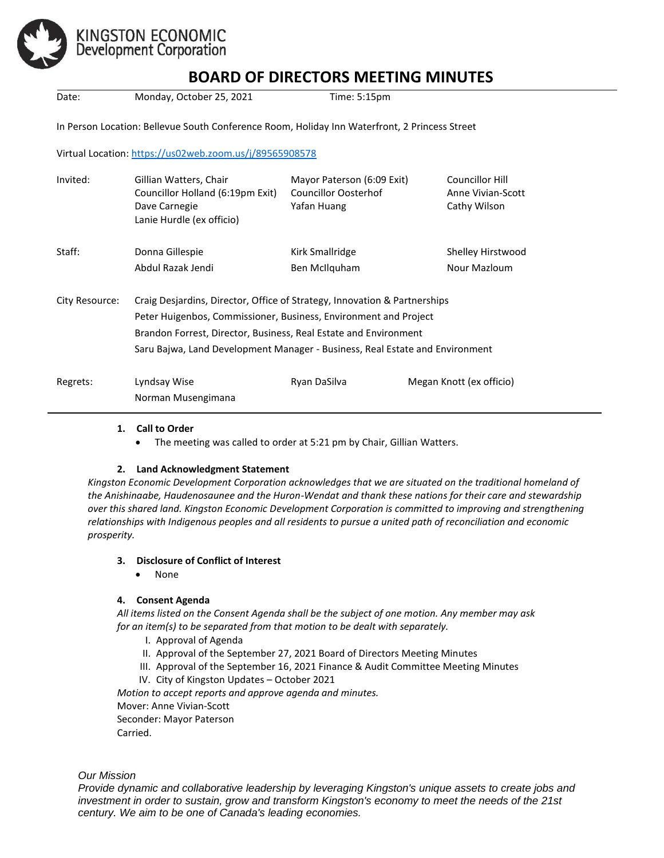

# KINGSTON ECONOMIC<br>Development Corporation

# **BOARD OF DIRECTORS MEETING MINUTES**

| BOARD OF DIRECTORS MEETING MINUTES |                                                                                                                                                                                                                                                                                                   |                                                                          |                                                      |
|------------------------------------|---------------------------------------------------------------------------------------------------------------------------------------------------------------------------------------------------------------------------------------------------------------------------------------------------|--------------------------------------------------------------------------|------------------------------------------------------|
| Date:                              | Monday, October 25, 2021                                                                                                                                                                                                                                                                          | Time: 5:15pm                                                             |                                                      |
|                                    | In Person Location: Bellevue South Conference Room, Holiday Inn Waterfront, 2 Princess Street                                                                                                                                                                                                     |                                                                          |                                                      |
|                                    | Virtual Location: https://us02web.zoom.us/j/89565908578                                                                                                                                                                                                                                           |                                                                          |                                                      |
| Invited:                           | Gillian Watters, Chair<br>Councillor Holland (6:19pm Exit)<br>Dave Carnegie<br>Lanie Hurdle (ex officio)                                                                                                                                                                                          | Mayor Paterson (6:09 Exit)<br><b>Councillor Oosterhof</b><br>Yafan Huang | Councillor Hill<br>Anne Vivian-Scott<br>Cathy Wilson |
| Staff:                             | Donna Gillespie<br>Abdul Razak Jendi                                                                                                                                                                                                                                                              | Kirk Smallridge<br>Ben McIlquham                                         | Shelley Hirstwood<br>Nour Mazloum                    |
| City Resource:                     | Craig Desjardins, Director, Office of Strategy, Innovation & Partnerships<br>Peter Huigenbos, Commissioner, Business, Environment and Project<br>Brandon Forrest, Director, Business, Real Estate and Environment<br>Saru Bajwa, Land Development Manager - Business, Real Estate and Environment |                                                                          |                                                      |
| Regrets:                           | Lyndsay Wise<br>Norman Musengimana                                                                                                                                                                                                                                                                | Ryan DaSilva                                                             | Megan Knott (ex officio)                             |

#### **1. Call to Order**

• The meeting was called to order at 5:21 pm by Chair, Gillian Watters.

# **2. Land Acknowledgment Statement**

*Kingston Economic Development Corporation acknowledges that we are situated on the traditional homeland of the Anishinaabe, Haudenosaunee and the Huron-Wendat and thank these nations for their care and stewardship over this shared land. Kingston Economic Development Corporation is committed to improving and strengthening relationships with Indigenous peoples and all residents to pursue a united path of reconciliation and economic prosperity.*

#### **3. Disclosure of Conflict of Interest**

• None

# **4. Consent Agenda**

*All items listed on the Consent Agenda shall be the subject of one motion. Any member may ask for an item(s) to be separated from that motion to be dealt with separately.*

- I. Approval of Agenda
- II. Approval of the September 27, 2021 Board of Directors Meeting Minutes
- III. Approval of the September 16, 2021 Finance & Audit Committee Meeting Minutes
- IV. City of Kingston Updates October 2021

*Motion to accept reports and approve agenda and minutes.* 

Mover: Anne Vivian-Scott

Seconder: Mayor Paterson Carried.

*Our Mission*

*Provide dynamic and collaborative leadership by leveraging Kingston's unique assets to create jobs and investment in order to sustain, grow and transform Kingston's economy to meet the needs of the 21st century. We aim to be one of Canada's leading economies.*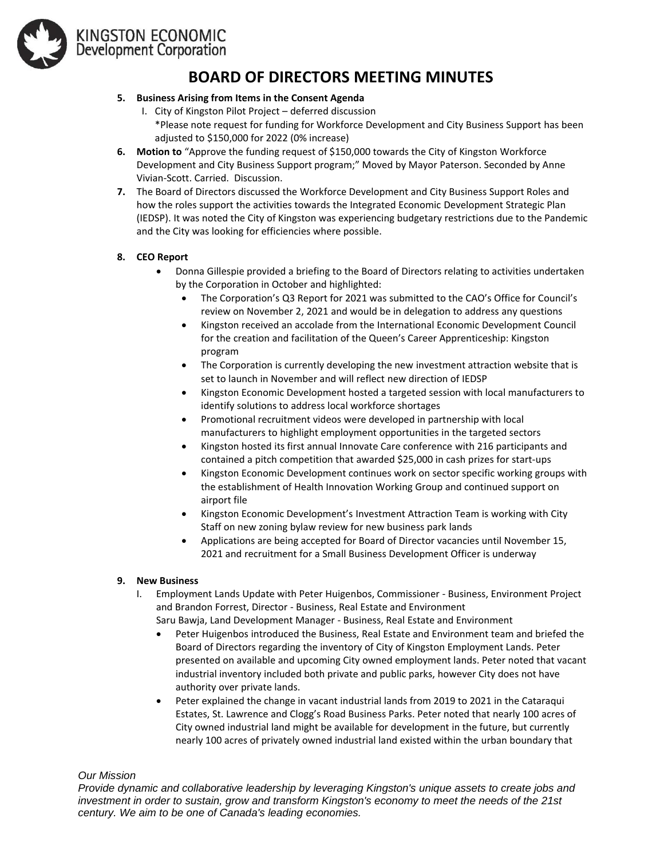

# KINGSTON ECONOMIC<br>Development Corporation

# **BOARD OF DIRECTORS MEETING MINUTES**

# **5. Business Arising from Items in the Consent Agenda**

- I. City of Kingston Pilot Project deferred discussion \*Please note request for funding for Workforce Development and City Business Support has been adjusted to \$150,000 for 2022 (0% increase)
- **6. Motion to** "Approve the funding request of \$150,000 towards the City of Kingston Workforce Development and City Business Support program;" Moved by Mayor Paterson. Seconded by Anne Vivian-Scott. Carried. Discussion.
- **7.** The Board of Directors discussed the Workforce Development and City Business Support Roles and how the roles support the activities towards the Integrated Economic Development Strategic Plan (IEDSP). It was noted the City of Kingston was experiencing budgetary restrictions due to the Pandemic and the City was looking for efficiencies where possible.

#### **8. CEO Report**

- Donna Gillespie provided a briefing to the Board of Directors relating to activities undertaken by the Corporation in October and highlighted:
	- The Corporation's Q3 Report for 2021 was submitted to the CAO's Office for Council's review on November 2, 2021 and would be in delegation to address any questions
	- Kingston received an accolade from the International Economic Development Council for the creation and facilitation of the Queen's Career Apprenticeship: Kingston program
	- The Corporation is currently developing the new investment attraction website that is set to launch in November and will reflect new direction of IEDSP
	- Kingston Economic Development hosted a targeted session with local manufacturers to identify solutions to address local workforce shortages
	- Promotional recruitment videos were developed in partnership with local manufacturers to highlight employment opportunities in the targeted sectors
	- Kingston hosted its first annual Innovate Care conference with 216 participants and contained a pitch competition that awarded \$25,000 in cash prizes for start-ups
	- Kingston Economic Development continues work on sector specific working groups with the establishment of Health Innovation Working Group and continued support on airport file
	- Kingston Economic Development's Investment Attraction Team is working with City Staff on new zoning bylaw review for new business park lands
	- Applications are being accepted for Board of Director vacancies until November 15, 2021 and recruitment for a Small Business Development Officer is underway

#### **9. New Business**

- I. Employment Lands Update with Peter Huigenbos, Commissioner Business, Environment Project and Brandon Forrest, Director - Business, Real Estate and Environment
	- Saru Bawja, Land Development Manager Business, Real Estate and Environment
	- Peter Huigenbos introduced the Business, Real Estate and Environment team and briefed the Board of Directors regarding the inventory of City of Kingston Employment Lands. Peter presented on available and upcoming City owned employment lands. Peter noted that vacant industrial inventory included both private and public parks, however City does not have authority over private lands.
	- Peter explained the change in vacant industrial lands from 2019 to 2021 in the Cataraqui Estates, St. Lawrence and Clogg's Road Business Parks. Peter noted that nearly 100 acres of City owned industrial land might be available for development in the future, but currently nearly 100 acres of privately owned industrial land existed within the urban boundary that

*Our Mission*

*Provide dynamic and collaborative leadership by leveraging Kingston's unique assets to create jobs and investment in order to sustain, grow and transform Kingston's economy to meet the needs of the 21st century. We aim to be one of Canada's leading economies.*